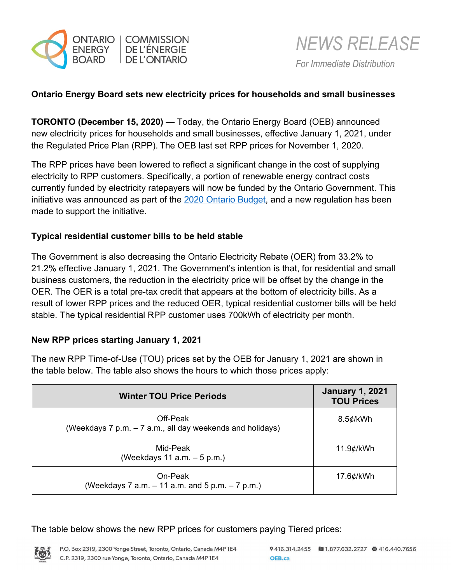



### **Ontario Energy Board sets new electricity prices for households and small businesses**

**TORONTO (December 15, 2020) —** Today, the Ontario Energy Board (OEB) announced new electricity prices for households and small businesses, effective January 1, 2021, under the Regulated Price Plan (RPP). The OEB last set RPP prices for November 1, 2020.

The RPP prices have been lowered to reflect a significant change in the cost of supplying electricity to RPP customers. Specifically, a portion of renewable energy contract costs currently funded by electricity ratepayers will now be funded by the Ontario Government. This initiative was announced as part of the [2020 Ontario Budget,](https://budget.ontario.ca/2020/index.html?gclid=EAIaIQobChMI__nH6dO87QIVmOSzCh0R-gRqEAAYASAAEgLYavD_BwE) and a new regulation has been made to support the initiative.

#### **Typical residential customer bills to be held stable**

The Government is also decreasing the Ontario Electricity Rebate (OER) from 33.2% to 21.2% effective January 1, 2021. The Government's intention is that, for residential and small business customers, the reduction in the electricity price will be offset by the change in the OER. The OER is a total pre-tax credit that appears at the bottom of electricity bills. As a result of lower RPP prices and the reduced OER, typical residential customer bills will be held stable. The typical residential RPP customer uses 700kWh of electricity per month.

#### **New RPP prices starting January 1, 2021**

The new RPP Time-of-Use (TOU) prices set by the OEB for January 1, 2021 are shown in the table below. The table also shows the hours to which those prices apply:

| <b>Winter TOU Price Periods</b>                                       | <b>January 1, 2021</b><br><b>TOU Prices</b> |
|-----------------------------------------------------------------------|---------------------------------------------|
| Off-Peak<br>(Weekdays 7 p.m. - 7 a.m., all day weekends and holidays) | $8.5$ ¢/kWh                                 |
| Mid-Peak<br>(Weekdays 11 a.m. $-5$ p.m.)                              | 11.9¢/kWh                                   |
| On-Peak<br>(Weekdays 7 a.m. $-11$ a.m. and 5 p.m. $-7$ p.m.)          | 17.6¢/kWh                                   |

The table below shows the new RPP prices for customers paying Tiered prices:

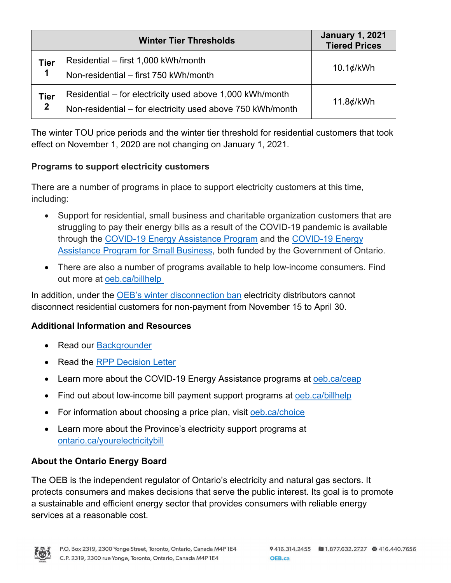|                             | <b>Winter Tier Thresholds</b>                                                                                          | <b>January 1, 2021</b><br><b>Tiered Prices</b> |
|-----------------------------|------------------------------------------------------------------------------------------------------------------------|------------------------------------------------|
| <b>Tier</b><br>1            | Residential - first 1,000 kWh/month<br>Non-residential - first 750 kWh/month                                           | $10.1$ ¢/kWh                                   |
| <b>Tier</b><br>$\mathbf{2}$ | Residential – for electricity used above 1,000 kWh/month<br>Non-residential - for electricity used above 750 kWh/month | 11.8¢/kWh                                      |

The winter TOU price periods and the winter tier threshold for residential customers that took effect on November 1, 2020 are not changing on January 1, 2021.

# **Programs to support electricity customers**

There are a number of programs in place to support electricity customers at this time, including:

- Support for residential, small business and charitable organization customers that are struggling to pay their energy bills as a result of the COVID-19 pandemic is available through the [COVID-19 Energy Assistance Program](https://www.oeb.ca/rates-and-your-bill/covid-19-energy-assistance-programs) and the [COVID-19 Energy](https://www.oeb.ca/rates-and-your-bill/covid-19-energy-assistance-programs)  [Assistance Program for Small Business,](https://www.oeb.ca/rates-and-your-bill/covid-19-energy-assistance-programs) both funded by the Government of Ontario.
- There are also a number of programs available to help low-income consumers. Find out more at [oeb.ca/billhelp](https://www.oeb.ca/rates-and-your-bill/help-low-income-consumers)

In addition, under the [OEB's winter disconnection ban](https://www.oeb.ca/newsroom/2020/winter-disconnection-ban) electricity distributors cannot disconnect residential customers for non-payment from November 15 to April 30.

### **Additional Information and Resources**

- Read our [Backgrounder](https://www.oeb.ca/sites/default/files/backgrounder-rpp-20201215.pdf)
- Read the [RPP Decision Letter](https://www.oeb.ca/sites/default/files/letter-new-rpp-prices-20201215.pdf)
- Learn more about the COVID-19 Energy Assistance programs at [oeb.ca/ceap](https://www.oeb.ca/rates-and-your-bill/covid-19-energy-assistance-programs)
- Find out about low-income bill payment support programs at [oeb.ca/billhelp](https://www.oeb.ca/rates-and-your-bill/help-low-income-consumers)
- For information about choosing a price plan, visit [oeb.ca/choice](https://www.oeb.ca/rates-and-your-bill/electricity-rates/choosing-your-electricity-price-plan)
- Learn more about the Province's electricity support programs at [ontario.ca/yourelectricitybill](https://www.ontario.ca/page/changes-your-electricity-bill)

# **About the Ontario Energy Board**

The OEB is the independent regulator of Ontario's electricity and natural gas sectors. It protects consumers and makes decisions that serve the public interest. Its goal is to promote a sustainable and efficient energy sector that provides consumers with reliable energy services at a reasonable cost.